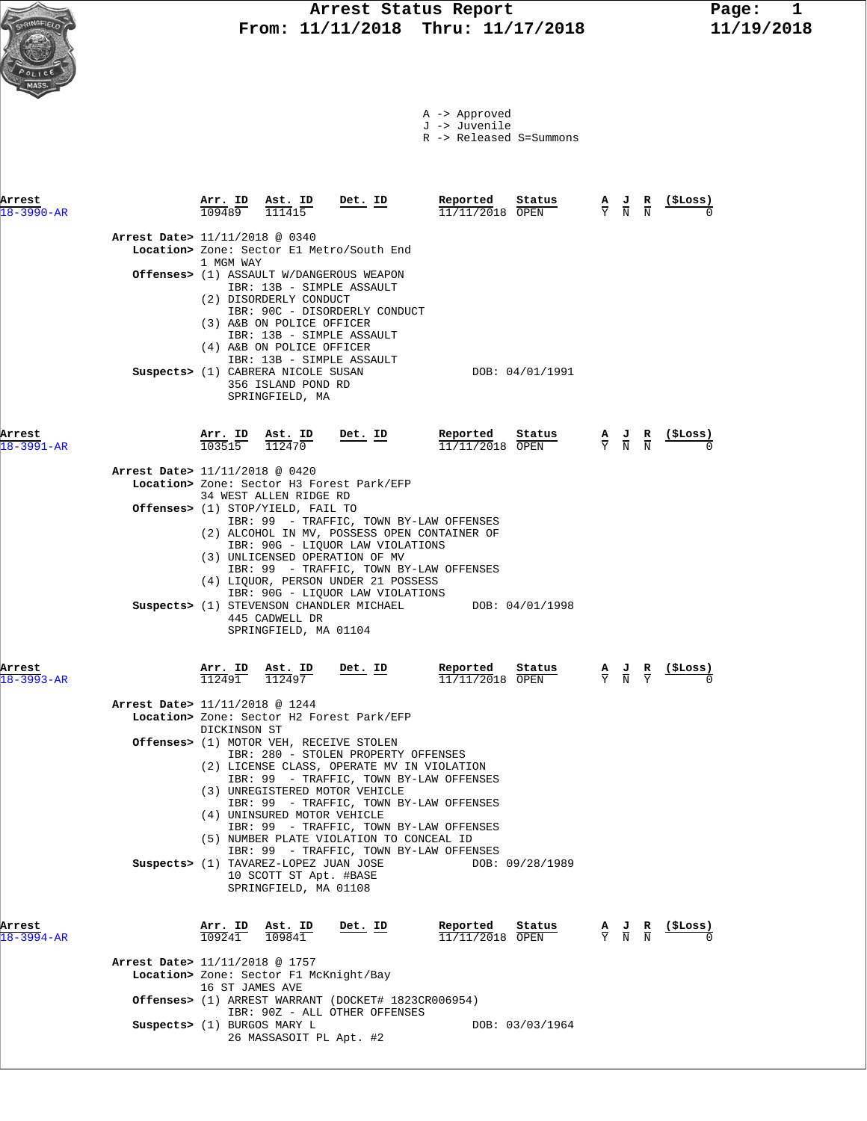

J -> Juvenile

R -> Released S=Summons

| Arrest<br>$18 - 3990 - AR$ |                                          | 109489                   | Arr. ID Ast. ID<br>111415                                                                                                             | Det. ID                                                                                                                                                                                                                                                                             | Reported<br>11/11/2018 OPEN | Status                           | $\frac{A}{Y}$ $\frac{J}{N}$                                                                     | R<br>$\overline{\rm N}$                   | (\$Loss)                   |
|----------------------------|------------------------------------------|--------------------------|---------------------------------------------------------------------------------------------------------------------------------------|-------------------------------------------------------------------------------------------------------------------------------------------------------------------------------------------------------------------------------------------------------------------------------------|-----------------------------|----------------------------------|-------------------------------------------------------------------------------------------------|-------------------------------------------|----------------------------|
|                            | <b>Arrest Date&gt; 11/11/2018 @ 0340</b> |                          |                                                                                                                                       | Location> Zone: Sector El Metro/South End                                                                                                                                                                                                                                           |                             |                                  |                                                                                                 |                                           |                            |
|                            |                                          | 1 MGM WAY                | (2) DISORDERLY CONDUCT                                                                                                                | <b>Offenses&gt;</b> (1) ASSAULT W/DANGEROUS WEAPON<br>IBR: 13B - SIMPLE ASSAULT<br>IBR: 90C - DISORDERLY CONDUCT                                                                                                                                                                    |                             |                                  |                                                                                                 |                                           |                            |
|                            |                                          |                          | (3) A&B ON POLICE OFFICER<br>(4) A&B ON POLICE OFFICER<br>Suspects> (1) CABRERA NICOLE SUSAN<br>356 ISLAND POND RD<br>SPRINGFIELD, MA | IBR: 13B - SIMPLE ASSAULT<br>IBR: 13B - SIMPLE ASSAULT                                                                                                                                                                                                                              |                             | DOB: 04/01/1991                  |                                                                                                 |                                           |                            |
| Arrest<br>$18 - 3991 - AR$ |                                          |                          | $\frac{\texttt{Arr.}}{103515}$ $\frac{\texttt{Ast.}}{112470}$                                                                         | <u>Det. ID</u>                                                                                                                                                                                                                                                                      | Reported<br>11/11/2018 OPEN | Status                           | $\frac{\mathbf{A}}{\mathbf{Y}}$ $\frac{\mathbf{J}}{\mathbf{N}}$ $\frac{\mathbf{R}}{\mathbf{N}}$ |                                           | <u>(ŞLoss)</u>             |
|                            | Arrest Date> 11/11/2018 @ 0420           |                          | 34 WEST ALLEN RIDGE RD<br>Offenses> (1) STOP/YIELD, FAIL TO                                                                           | Location> Zone: Sector H3 Forest Park/EFP                                                                                                                                                                                                                                           |                             |                                  |                                                                                                 |                                           |                            |
|                            |                                          |                          |                                                                                                                                       | IBR: 99 - TRAFFIC, TOWN BY-LAW OFFENSES<br>(2) ALCOHOL IN MV, POSSESS OPEN CONTAINER OF<br>IBR: 90G - LIQUOR LAW VIOLATIONS<br>(3) UNLICENSED OPERATION OF MV<br>IBR: 99 - TRAFFIC, TOWN BY-LAW OFFENSES<br>(4) LIQUOR, PERSON UNDER 21 POSSESS<br>IBR: 90G - LIQUOR LAW VIOLATIONS |                             |                                  |                                                                                                 |                                           |                            |
| Arrest                     |                                          | <u>Arr. ID</u>           | 445 CADWELL DR<br>SPRINGFIELD, MA 01104<br>Ast. ID                                                                                    | Suspects> (1) STEVENSON CHANDLER MICHAEL<br>Det. ID                                                                                                                                                                                                                                 | DOB: 04/01/1998<br>Reported | Status                           | $\frac{\mathbf{A}}{\mathbf{Y}}$ $\frac{\mathbf{J}}{\mathbf{N}}$ $\frac{\mathbf{R}}{\mathbf{Y}}$ |                                           | $\frac{(\text{SLoss})}{0}$ |
| $18 - 3993 - AR$           |                                          | 112491                   | 112497                                                                                                                                |                                                                                                                                                                                                                                                                                     | $11/11/2018$ OPEN           |                                  |                                                                                                 |                                           |                            |
|                            | <b>Arrest Date&gt;</b> 11/11/2018 @ 1244 |                          |                                                                                                                                       | Location> Zone: Sector H2 Forest Park/EFP                                                                                                                                                                                                                                           |                             |                                  |                                                                                                 |                                           |                            |
|                            |                                          | DICKINSON ST             |                                                                                                                                       | Offenses> (1) MOTOR VEH, RECEIVE STOLEN<br>IBR: 280 - STOLEN PROPERTY OFFENSES<br>(2) LICENSE CLASS, OPERATE MV IN VIOLATION<br>IBR: 99 - TRAFFIC, TOWN BY-LAW OFFENSES<br>(3) UNREGISTERED MOTOR VEHICLE                                                                           |                             |                                  |                                                                                                 |                                           |                            |
|                            |                                          |                          | (4) UNINSURED MOTOR VEHICLE                                                                                                           | IBR: 99 - TRAFFIC, TOWN BY-LAW OFFENSES<br>IBR: 99 - TRAFFIC, TOWN BY-LAW OFFENSES<br>(5) NUMBER PLATE VIOLATION TO CONCEAL ID<br>IBR: 99 - TRAFFIC, TOWN BY-LAW OFFENSES                                                                                                           |                             |                                  |                                                                                                 |                                           |                            |
| Arrest                     |                                          | <u>Arr. ID</u><br>109241 | Suspects> (1) TAVAREZ-LOPEZ JUAN JOSE<br>10 SCOTT ST Apt. #BASE<br>SPRINGFIELD, MA 01108<br><u>Ast. ID</u>                            | <u>Det. ID</u>                                                                                                                                                                                                                                                                      | Reported                    | DOB: 09/28/1989<br><u>Status</u> |                                                                                                 | $\frac{A}{Y}$ $\frac{J}{N}$ $\frac{R}{N}$ | $(\$ Loss)$                |
| $18 - 3994 - AR$           |                                          |                          | 109841                                                                                                                                |                                                                                                                                                                                                                                                                                     | 11/11/2018 OPEN             |                                  |                                                                                                 |                                           |                            |
|                            | Arrest Date> 11/11/2018 @ 1757           | 16 ST JAMES AVE          | Location> Zone: Sector F1 McKnight/Bay                                                                                                | Offenses> (1) ARREST WARRANT (DOCKET# 1823CR006954)                                                                                                                                                                                                                                 |                             |                                  |                                                                                                 |                                           |                            |
|                            |                                          |                          | Suspects> (1) BURGOS MARY L                                                                                                           | IBR: 90Z - ALL OTHER OFFENSES                                                                                                                                                                                                                                                       |                             | DOB: 03/03/1964                  |                                                                                                 |                                           |                            |
|                            |                                          |                          |                                                                                                                                       |                                                                                                                                                                                                                                                                                     |                             |                                  |                                                                                                 |                                           |                            |

26 MASSASOIT PL Apt. #2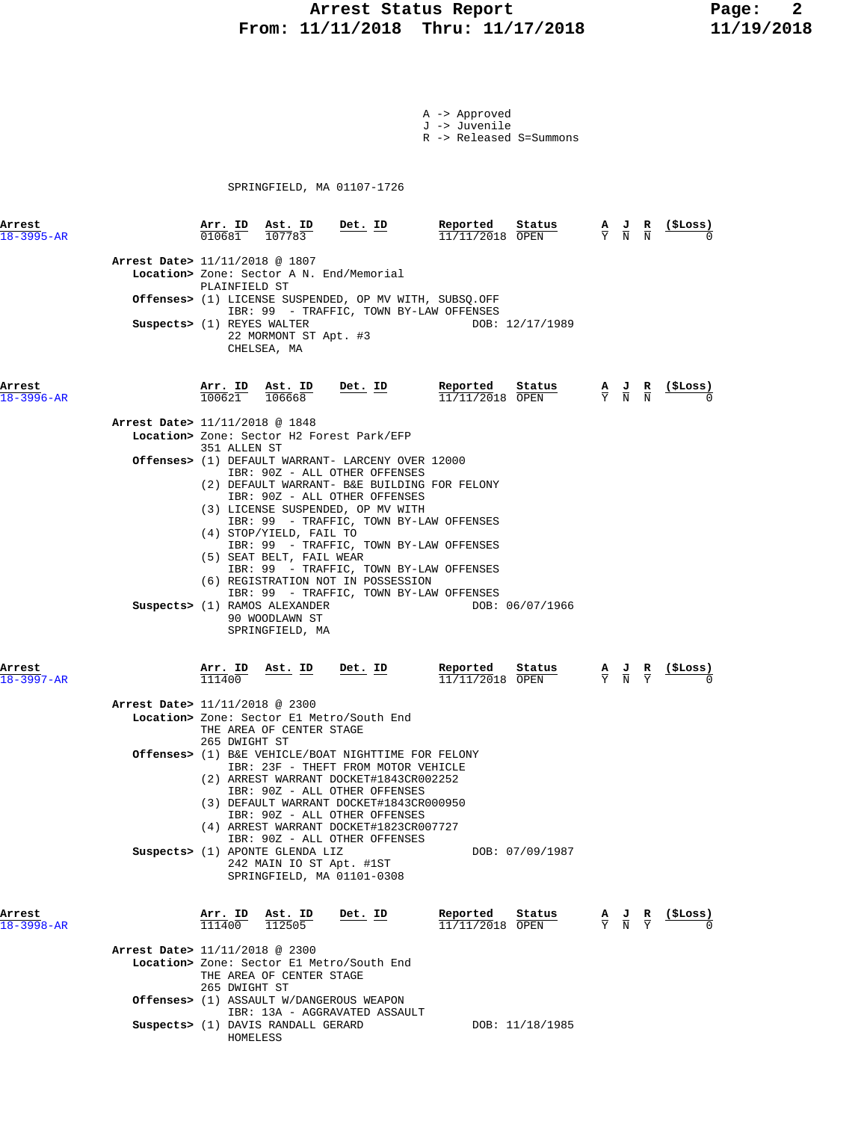# **Arrest Status Report** Page: 2<br>11/11/2018 Thru: 11/17/2018 11/19/2018  **From: 11/11/2018 Thru: 11/17/2018 11/19/2018**

- A -> Approved J -> Juvenile
- R -> Released S=Summons

SPRINGFIELD, MA 01107-1726

| Arrest<br>$18 - 3995 - AR$ | $\frac{\texttt{Arr.}}{010681}$ $\frac{\texttt{ Ast.}}{107783}$<br><u>Det. ID</u>                                                                                                                                                                                                                                                                                                                                                           | Reported<br>Status<br>11/11/2018 OPEN   | $\frac{A}{Y}$ $\frac{J}{N}$                                                                     | $\frac{R}{N}$                 | (ŞLoss)         |
|----------------------------|--------------------------------------------------------------------------------------------------------------------------------------------------------------------------------------------------------------------------------------------------------------------------------------------------------------------------------------------------------------------------------------------------------------------------------------------|-----------------------------------------|-------------------------------------------------------------------------------------------------|-------------------------------|-----------------|
|                            | Arrest Date> 11/11/2018 @ 1807<br>Location> Zone: Sector A N. End/Memorial<br>PLAINFIELD ST<br><b>Offenses&gt;</b> (1) LICENSE SUSPENDED, OP MV WITH, SUBSQ.OFF<br>IBR: 99 - TRAFFIC, TOWN BY-LAW OFFENSES<br>Suspects> (1) REYES WALTER<br>22 MORMONT ST Apt. #3<br>CHELSEA, MA                                                                                                                                                           | DOB: 12/17/1989                         |                                                                                                 |                               |                 |
| Arrest<br>$18 - 3996 - AR$ | Arr. ID Ast. ID<br>Det. ID<br>100621<br>106668<br>Arrest Date> 11/11/2018 @ 1848<br>Location> Zone: Sector H2 Forest Park/EFP<br>351 ALLEN ST<br><b>Offenses&gt;</b> (1) DEFAULT WARRANT- LARCENY OVER 12000<br>IBR: 90Z - ALL OTHER OFFENSES<br>(2) DEFAULT WARRANT- B&E BUILDING FOR FELONY<br>IBR: 90Z - ALL OTHER OFFENSES<br>(3) LICENSE SUSPENDED, OP MV WITH<br>IBR: 99 - TRAFFIC, TOWN BY-LAW OFFENSES<br>(4) STOP/YIELD, FAIL TO  | Reported<br>Status<br>$11/11/2018$ OPEN | $\frac{\mathbf{A}}{\mathbf{Y}}$ $\frac{\mathbf{J}}{\mathbf{N}}$ $\frac{\mathbf{R}}{\mathbf{N}}$ |                               | (ŞLoss)         |
| Arrest                     | IBR: 99 - TRAFFIC, TOWN BY-LAW OFFENSES<br>(5) SEAT BELT, FAIL WEAR<br>IBR: 99 - TRAFFIC, TOWN BY-LAW OFFENSES<br>(6) REGISTRATION NOT IN POSSESSION<br>IBR: 99 - TRAFFIC, TOWN BY-LAW OFFENSES<br>Suspects> (1) RAMOS ALEXANDER<br>90 WOODLAWN ST<br>SPRINGFIELD, MA<br><u>Ast. ID</u><br>Det. ID<br><u>Arr. ID</u>                                                                                                                       | DOB: 06/07/1966<br>Reported<br>Status   | $\frac{J}{N}$                                                                                   | $rac{\mathbf{R}}{\mathrm{Y}}$ | <u>(\$Loss)</u> |
| $18 - 3997 - AR$           | 111400<br>Arrest Date> 11/11/2018 @ 2300<br>Location> Zone: Sector El Metro/South End<br>THE AREA OF CENTER STAGE                                                                                                                                                                                                                                                                                                                          | 11/11/2018 OPEN                         | $rac{\mathbf{A}}{\mathbf{Y}}$                                                                   |                               |                 |
|                            | 265 DWIGHT ST<br>Offenses> (1) B&E VEHICLE/BOAT NIGHTTIME FOR FELONY<br>IBR: 23F - THEFT FROM MOTOR VEHICLE<br>(2) ARREST WARRANT DOCKET#1843CR002252<br>IBR: 90Z - ALL OTHER OFFENSES<br>(3) DEFAULT WARRANT DOCKET#1843CR000950<br>IBR: 90Z - ALL OTHER OFFENSES<br>(4) ARREST WARRANT DOCKET#1823CR007727<br>IBR: 90Z - ALL OTHER OFFENSES<br>Suspects> (1) APONTE GLENDA LIZ<br>242 MAIN IO ST Apt. #1ST<br>SPRINGFIELD, MA 01101-0308 | DOB: 07/09/1987                         |                                                                                                 |                               |                 |
| Arrest<br>$18 - 3998 - AR$ | Det. ID<br>$\frac{\text{Arr.}}{111400}$<br>$\frac{\texttt{Ast.}}{112505}$<br>Arrest Date> 11/11/2018 @ 2300                                                                                                                                                                                                                                                                                                                                | Reported<br>Status<br>11/11/2018 OPEN   | $\frac{\mathbf{A}}{\mathbf{Y}}$ $\frac{\mathbf{J}}{\mathbf{N}}$ $\frac{\mathbf{R}}{\mathbf{Y}}$ |                               | (\$Loss)        |
|                            | Location> Zone: Sector El Metro/South End<br>THE AREA OF CENTER STAGE<br>265 DWIGHT ST<br><b>Offenses&gt;</b> (1) ASSAULT W/DANGEROUS WEAPON                                                                                                                                                                                                                                                                                               |                                         |                                                                                                 |                               |                 |
|                            | IBR: 13A - AGGRAVATED ASSAULT<br>Suspects> (1) DAVIS RANDALL GERARD                                                                                                                                                                                                                                                                                                                                                                        | DOB: 11/18/1985                         |                                                                                                 |                               |                 |

HOMELESS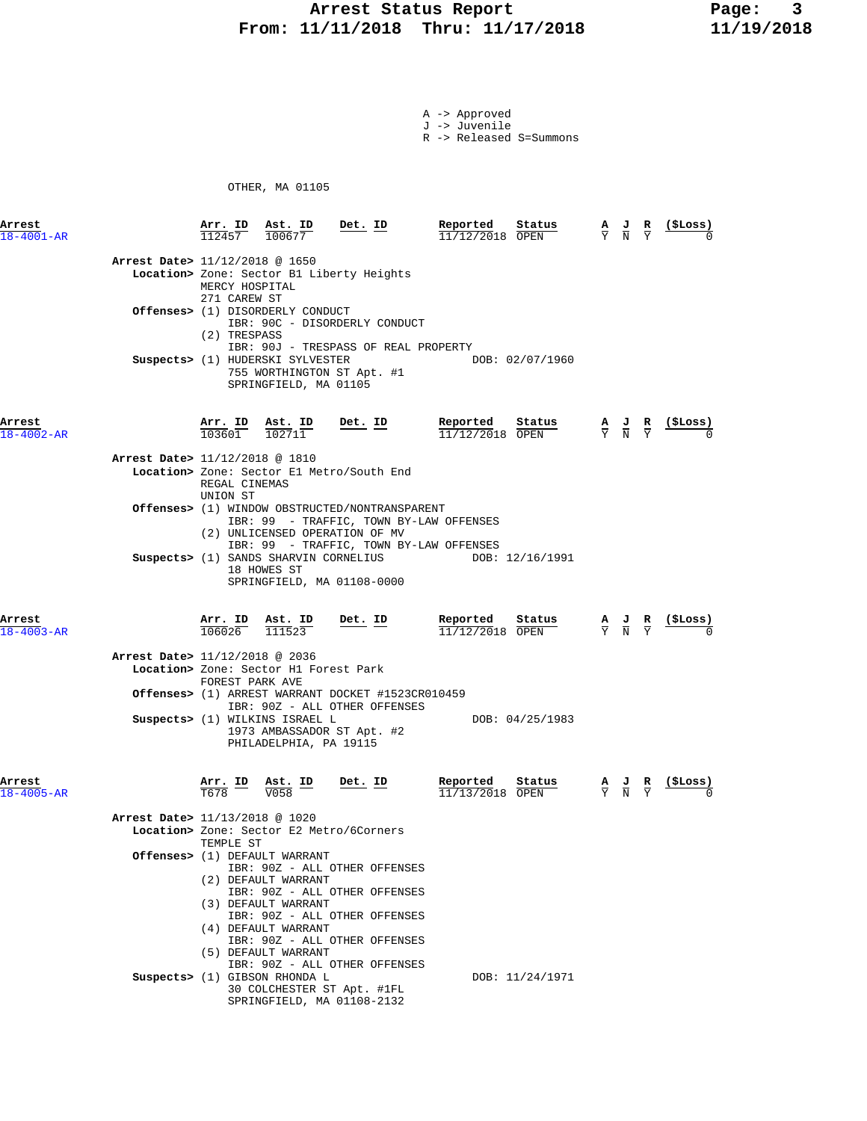# **Arrest Status Report** Page: 3<br>11/11/2018 Thru: 11/17/2018 11/19/2018  **From: 11/11/2018 Thru: 11/17/2018 11/19/2018**

A -> Approved J -> Juvenile

R -> Released S=Summons

OTHER, MA 01105

| Arrest<br>$18 - 4001 - AR$ |                                | Arr. ID<br>112457                    | Ast. ID<br>100677                                                                                                             | Det. ID                                                                                                                                                                          | Reported<br>11/12/2018 OPEN        | Status          | А<br>$\overline{Y}$ | $\frac{1}{N}$                                                                                   | R                                                                                               | (\$Loss) |
|----------------------------|--------------------------------|--------------------------------------|-------------------------------------------------------------------------------------------------------------------------------|----------------------------------------------------------------------------------------------------------------------------------------------------------------------------------|------------------------------------|-----------------|---------------------|-------------------------------------------------------------------------------------------------|-------------------------------------------------------------------------------------------------|----------|
|                            | Arrest Date> 11/12/2018 @ 1650 | MERCY HOSPITAL<br>271 CAREW ST       |                                                                                                                               | Location> Zone: Sector B1 Liberty Heights                                                                                                                                        |                                    |                 |                     |                                                                                                 |                                                                                                 |          |
|                            |                                | (2) TRESPASS                         | <b>Offenses&gt;</b> (1) DISORDERLY CONDUCT                                                                                    | IBR: 90C - DISORDERLY CONDUCT<br>IBR: 90J - TRESPASS OF REAL PROPERTY                                                                                                            |                                    |                 |                     |                                                                                                 |                                                                                                 |          |
|                            |                                |                                      | Suspects> (1) HUDERSKI SYLVESTER<br>SPRINGFIELD, MA 01105                                                                     | 755 WORTHINGTON ST Apt. #1                                                                                                                                                       |                                    | DOB: 02/07/1960 |                     |                                                                                                 |                                                                                                 |          |
| Arrest<br>$18 - 4002 - AR$ |                                |                                      | $\frac{\texttt{Arr.}}{103601}$ $\frac{\texttt{Ast.}}{102711}$                                                                 | <u>Det. ID</u>                                                                                                                                                                   | Reported<br>$11/12/2018$ OPEN      | Status          |                     |                                                                                                 | $\frac{\mathbf{A}}{\mathbf{Y}}$ $\frac{\mathbf{J}}{\mathbf{N}}$ $\frac{\mathbf{R}}{\mathbf{Y}}$ |          |
|                            | Arrest Date> 11/12/2018 @ 1810 | REGAL CINEMAS<br>UNION ST            |                                                                                                                               | Location> Zone: Sector El Metro/South End                                                                                                                                        |                                    |                 |                     |                                                                                                 |                                                                                                 |          |
|                            |                                |                                      |                                                                                                                               | <b>Offenses&gt;</b> (1) WINDOW OBSTRUCTED/NONTRANSPARENT<br>IBR: 99 - TRAFFIC, TOWN BY-LAW OFFENSES<br>(2) UNLICENSED OPERATION OF MV<br>IBR: 99 - TRAFFIC, TOWN BY-LAW OFFENSES |                                    |                 |                     |                                                                                                 |                                                                                                 |          |
|                            |                                |                                      | Suspects> (1) SANDS SHARVIN CORNELIUS<br>18 HOWES ST                                                                          | SPRINGFIELD, MA 01108-0000                                                                                                                                                       |                                    | DOB: 12/16/1991 |                     |                                                                                                 |                                                                                                 |          |
| Arrest<br>$18 - 4003 - AR$ |                                |                                      | $\frac{\text{Arr. ID}}{106026}$ $\frac{\text{Ast. ID}}{111523}$<br>$\underbrace{\text{Est. ID}}_{\overline{2,2,2,3}}$ Det. ID |                                                                                                                                                                                  | Reported<br>11/12/2018 OPEN        | Status          |                     | $\frac{\mathbf{A}}{\mathbf{Y}}$ $\frac{\mathbf{J}}{\mathbf{N}}$ $\frac{\mathbf{R}}{\mathbf{Y}}$ |                                                                                                 |          |
|                            |                                |                                      | Arrest Date> 11/12/2018 @ 2036<br>Location> Zone: Sector H1 Forest Park<br>FOREST PARK AVE                                    |                                                                                                                                                                                  |                                    |                 |                     |                                                                                                 |                                                                                                 |          |
|                            |                                |                                      |                                                                                                                               | Offenses> (1) ARREST WARRANT DOCKET #1523CR010459<br>IBR: 90Z - ALL OTHER OFFENSES                                                                                               |                                    |                 |                     |                                                                                                 |                                                                                                 |          |
|                            |                                |                                      | Suspects> (1) WILKINS ISRAEL L<br>PHILADELPHIA, PA 19115                                                                      | 1973 AMBASSADOR ST Apt. #2                                                                                                                                                       |                                    | DOB: 04/25/1983 |                     |                                                                                                 |                                                                                                 |          |
| Arrest<br>$18 - 4005 - AR$ |                                | $\frac{\text{Arr.}}{\text{TS78}}$ ID | $\frac{\texttt{Ast.}}{\text{V058}}$ ID                                                                                        | <u>Det. ID</u>                                                                                                                                                                   | <u>Reported</u><br>11/13/2018 OPEN | Status          |                     | $\frac{\mathbf{A}}{\mathbf{Y}}$ $\frac{\mathbf{J}}{\mathbf{N}}$ $\frac{\mathbf{R}}{\mathbf{Y}}$ |                                                                                                 |          |
|                            | Arrest Date> 11/13/2018 @ 1020 |                                      |                                                                                                                               | Location> Zone: Sector E2 Metro/6Corners                                                                                                                                         |                                    |                 |                     |                                                                                                 |                                                                                                 |          |
|                            |                                | TEMPLE ST                            | Offenses> (1) DEFAULT WARRANT<br>(2) DEFAULT WARRANT<br>(3) DEFAULT WARRANT<br>(4) DEFAULT WARRANT<br>(5) DEFAULT WARRANT     | IBR: 90Z - ALL OTHER OFFENSES<br>IBR: 90Z - ALL OTHER OFFENSES<br>IBR: 90Z - ALL OTHER OFFENSES<br>IBR: 90Z - ALL OTHER OFFENSES<br>IBR: 90Z - ALL OTHER OFFENSES                |                                    |                 |                     |                                                                                                 |                                                                                                 |          |
|                            |                                |                                      | Suspects> (1) GIBSON RHONDA L                                                                                                 | 30 COLCHESTER ST Apt. #1FL<br>SPRINGFIELD, MA 01108-2132                                                                                                                         |                                    | DOB: 11/24/1971 |                     |                                                                                                 |                                                                                                 |          |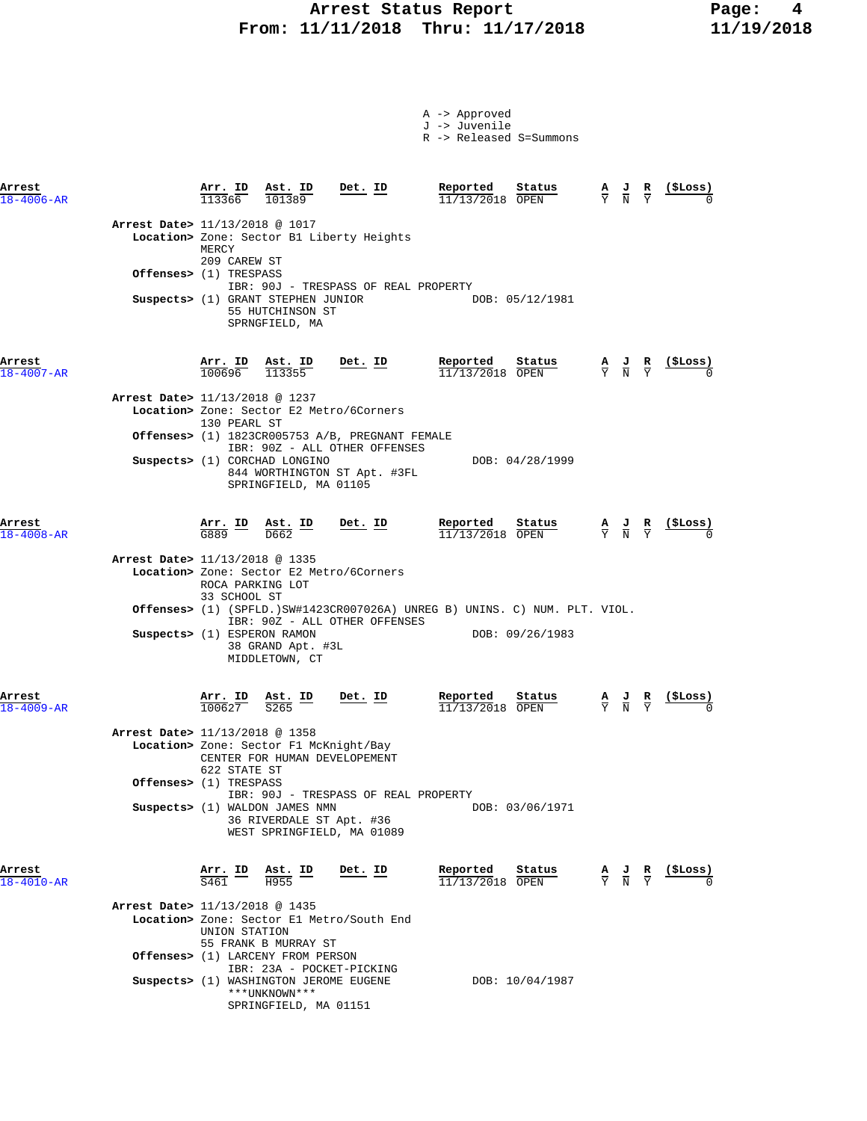|                                  |                                      |                                                                          |                                                                                  | A -> Approved<br>J -> Juvenile<br>R -> Released S=Summons                  |                                                                                                 |                               |                |
|----------------------------------|--------------------------------------|--------------------------------------------------------------------------|----------------------------------------------------------------------------------|----------------------------------------------------------------------------|-------------------------------------------------------------------------------------------------|-------------------------------|----------------|
| Arrest<br>$18 - 4006 - AR$       | Arr. ID Ast. ID<br>113366            | 101389                                                                   | Det. ID                                                                          | Reported<br>Status<br>11/13/2018 OPEN                                      | $\frac{A}{Y}$ $\frac{J}{N}$ $\frac{R}{Y}$                                                       |                               | (ŞLoss)        |
| Arrest Date> 11/13/2018 @ 1017   | MERCY<br>209 CAREW ST                |                                                                          | Location> Zone: Sector B1 Liberty Heights                                        |                                                                            |                                                                                                 |                               |                |
| Offenses> (1) TRESPASS           |                                      |                                                                          |                                                                                  |                                                                            |                                                                                                 |                               |                |
|                                  |                                      | Suspects> (1) GRANT STEPHEN JUNIOR<br>55 HUTCHINSON ST<br>SPRNGFIELD, MA | IBR: 90J - TRESPASS OF REAL PROPERTY                                             | DOB: 05/12/1981                                                            |                                                                                                 |                               |                |
| Arrest<br>$18 - 4007 - AR$       |                                      | $\frac{\text{Arr. ID}}{100696}$ $\frac{\text{Ast. ID}}{113355}$          | Det. ID                                                                          | Reported<br>Status<br>$11/13/2018$ OPEN                                    | $\frac{\mathbf{A}}{\mathbf{Y}}$ $\frac{\mathbf{J}}{\mathbf{N}}$ $\frac{\mathbf{R}}{\mathbf{Y}}$ |                               | <u>(SLoss)</u> |
| Arrest Date> 11/13/2018 @ 1237   | 130 PEARL ST                         |                                                                          | Location> Zone: Sector E2 Metro/6Corners                                         |                                                                            |                                                                                                 |                               |                |
|                                  |                                      |                                                                          | Offenses> (1) 1823CR005753 A/B, PREGNANT FEMALE<br>IBR: 90Z - ALL OTHER OFFENSES |                                                                            |                                                                                                 |                               |                |
|                                  |                                      | Suspects> (1) CORCHAD LONGINO<br>SPRINGFIELD, MA 01105                   | 844 WORTHINGTON ST Apt. #3FL                                                     | DOB: 04/28/1999                                                            |                                                                                                 |                               |                |
| Arrest<br>$18 - 4008 - AR$       | $\frac{\text{Arr.}}{\text{G889}}$ ID | $\frac{\texttt{Ast.}}{\texttt{D662}}$ ID                                 | Det. ID                                                                          | Reported<br>Status<br>$11/13/2018$ OPEN                                    | $\frac{\mathbf{A}}{\mathbf{Y}}$ $\frac{\mathbf{J}}{\mathbf{N}}$ $\frac{\mathbf{R}}{\mathbf{Y}}$ |                               |                |
| Arrest Date> 11/13/2018 @ 1335   | ROCA PARKING LOT<br>33 SCHOOL ST     |                                                                          | Location> Zone: Sector E2 Metro/6Corners                                         |                                                                            |                                                                                                 |                               |                |
|                                  |                                      |                                                                          | IBR: 90Z - ALL OTHER OFFENSES                                                    | Offenses> (1) (SPFLD.)SW#1423CR007026A) UNREG B) UNINS. C) NUM. PLT. VIOL. |                                                                                                 |                               |                |
| Suspects> (1) ESPERON RAMON      |                                      | 38 GRAND Apt. #3L<br>MIDDLETOWN, CT                                      |                                                                                  | DOB: 09/26/1983                                                            |                                                                                                 |                               |                |
| Arrest<br>$18 - 4009 - AR$       | Arr. ID<br>100627                    | Ast. ID<br>S265                                                          | Det. ID                                                                          | Reported<br>Status<br>11/13/2018 OPEN                                      | $\frac{A}{Y}$ $\frac{J}{N}$                                                                     | $rac{\mathbf{R}}{\mathbf{Y}}$ |                |
| Arrest Date> 11/13/2018 @ 1358   |                                      | Location> Zone: Sector F1 McKnight/Bay<br>CENTER FOR HUMAN DEVELOPEMENT  |                                                                                  |                                                                            |                                                                                                 |                               |                |
| <b>Offenses&gt;</b> (1) TRESPASS | 622 STATE ST                         |                                                                          |                                                                                  |                                                                            |                                                                                                 |                               |                |
|                                  |                                      | Suspects> (1) WALDON JAMES NMN<br>36 RIVERDALE ST Apt. #36               | IBR: 90J - TRESPASS OF REAL PROPERTY<br>WEST SPRINGFIELD, MA 01089               | DOB: 03/06/1971                                                            |                                                                                                 |                               |                |
| Arrest<br>$18 - 4010 - AR$       | Arr. ID<br>$\overline{S461}$         | Ast. ID<br>H955                                                          | Det. ID                                                                          | Reported<br>Status<br>$11/13/2018$ OPEN                                    | $\frac{A}{Y}$ $\frac{J}{N}$                                                                     | $rac{\mathbf{R}}{\mathrm{Y}}$ | (\$Loss)       |
| Arrest Date> 11/13/2018 @ 1435   | UNION STATION                        | 55 FRANK B MURRAY ST                                                     | Location> Zone: Sector El Metro/South End                                        |                                                                            |                                                                                                 |                               |                |
|                                  |                                      | Offenses> (1) LARCENY FROM PERSON<br>IBR: 23A - POCKET-PICKING           |                                                                                  |                                                                            |                                                                                                 |                               |                |
|                                  |                                      | Suspects> (1) WASHINGTON JEROME EUGENE<br>***UNKNOWN***                  |                                                                                  | DOB: 10/04/1987                                                            |                                                                                                 |                               |                |

SPRINGFIELD, MA 01151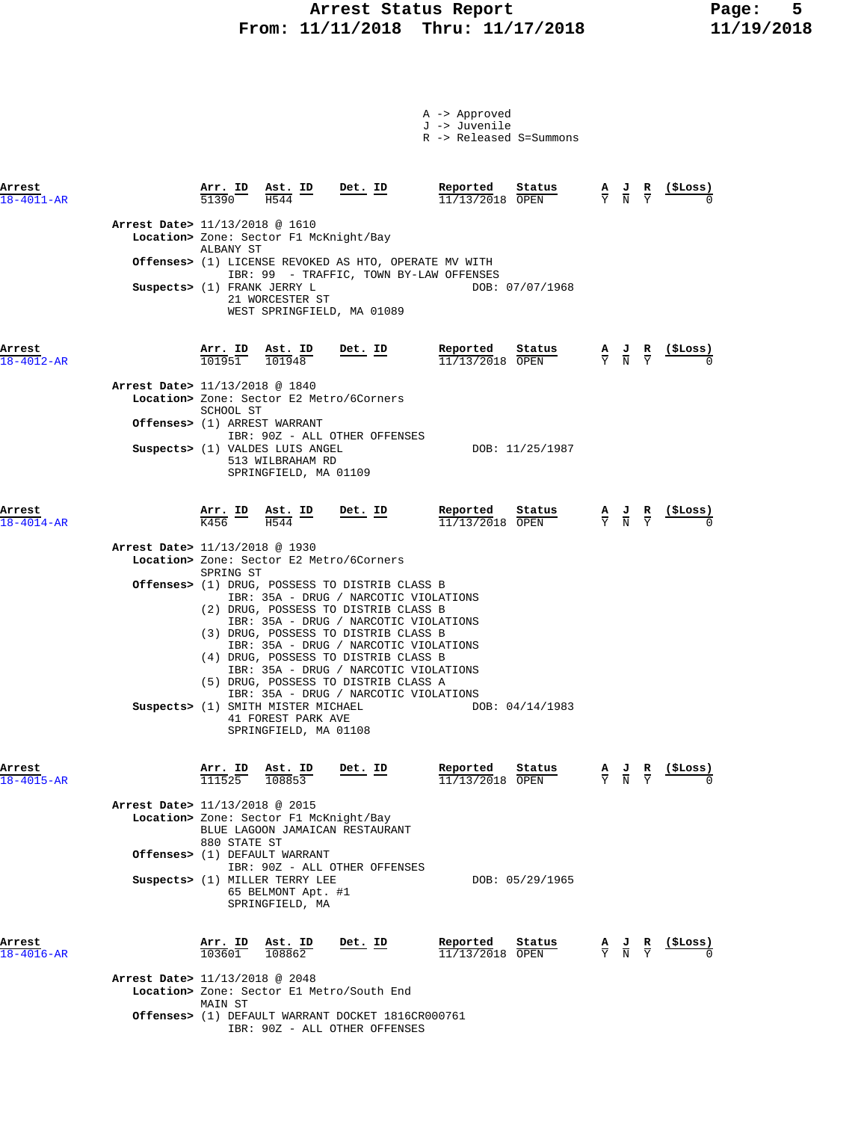# **Arrest Status Report Page: 5 From: 11/11/2018 Thru: 11/17/2018 11/19/2018**

A -> Approved J -> Juvenile

|                            |                                |                                      |                                                                              |                                                                                                                                                                                                                                                                                                                                                                           | R -> Released S=Summons                                                        |                                                                                                 |                                                               |
|----------------------------|--------------------------------|--------------------------------------|------------------------------------------------------------------------------|---------------------------------------------------------------------------------------------------------------------------------------------------------------------------------------------------------------------------------------------------------------------------------------------------------------------------------------------------------------------------|--------------------------------------------------------------------------------|-------------------------------------------------------------------------------------------------|---------------------------------------------------------------|
| Arrest<br>$18 - 4011 - AR$ |                                | <b>Arr. ID</b><br>51390              | $\frac{\text{Ast. ID}}{\frac{1544}{ } }$<br>H544                             | Det. ID                                                                                                                                                                                                                                                                                                                                                                   | Reported<br>Status<br>11/13/2018 OPEN                                          | $\frac{A}{Y}$ $\frac{J}{N}$ $\frac{R}{Y}$                                                       | (ŞLoss)                                                       |
|                            | Arrest Date> 11/13/2018 @ 1610 |                                      | Location> Zone: Sector F1 McKnight/Bay                                       |                                                                                                                                                                                                                                                                                                                                                                           |                                                                                |                                                                                                 |                                                               |
|                            |                                | ALBANY ST                            |                                                                              | Offenses> (1) LICENSE REVOKED AS HTO, OPERATE MV WITH<br>IBR: 99 - TRAFFIC, TOWN BY-LAW OFFENSES                                                                                                                                                                                                                                                                          |                                                                                |                                                                                                 |                                                               |
|                            | Suspects> (1) FRANK JERRY L    |                                      | 21 WORCESTER ST                                                              | WEST SPRINGFIELD, MA 01089                                                                                                                                                                                                                                                                                                                                                | DOB: 07/07/1968                                                                |                                                                                                 |                                                               |
| Arrest<br>18-4012-AR       |                                | <u>Arr. ID</u><br>101951             | Ast. ID<br>101948                                                            | $Det$ . ID                                                                                                                                                                                                                                                                                                                                                                | Reported<br>Status<br>11/13/2018 OPEN                                          | $\frac{\mathbf{A}}{\mathbf{Y}}$ $\frac{\mathbf{J}}{\mathbf{N}}$ $\frac{\mathbf{R}}{\mathbf{Y}}$ | ( <b>SLoss</b> )                                              |
|                            | Arrest Date> 11/13/2018 @ 1840 | SCHOOL ST                            |                                                                              | Location> Zone: Sector E2 Metro/6Corners                                                                                                                                                                                                                                                                                                                                  |                                                                                |                                                                                                 |                                                               |
|                            |                                |                                      | <b>Offenses&gt;</b> (1) ARREST WARRANT                                       | IBR: 90Z - ALL OTHER OFFENSES                                                                                                                                                                                                                                                                                                                                             |                                                                                |                                                                                                 |                                                               |
|                            |                                |                                      | Suspects> (1) VALDES LUIS ANGEL<br>513 WILBRAHAM RD<br>SPRINGFIELD, MA 01109 |                                                                                                                                                                                                                                                                                                                                                                           | DOB: 11/25/1987                                                                |                                                                                                 |                                                               |
| Arrest<br>$18 - 4014 - AR$ |                                | $\frac{\text{Arr.}}{\text{K456}}$ ID | $\frac{\texttt{Ast.}}{\text{H544}}$ ID                                       | <u>Det. ID</u>                                                                                                                                                                                                                                                                                                                                                            | Reported<br>Status<br>$11/13/2018$ OPEN                                        | $\frac{\mathbf{A}}{\mathbf{Y}}$ $\frac{\mathbf{J}}{\mathbf{N}}$ $\frac{\mathbf{R}}{\mathbf{Y}}$ | <u>(ŞLoss)</u>                                                |
|                            | Arrest Date> 11/13/2018 @ 1930 |                                      | Location> Zone: Sector E2 Metro/6Corners                                     |                                                                                                                                                                                                                                                                                                                                                                           |                                                                                |                                                                                                 |                                                               |
|                            |                                | SPRING ST                            |                                                                              | <b>Offenses&gt;</b> (1) DRUG, POSSESS TO DISTRIB CLASS B                                                                                                                                                                                                                                                                                                                  |                                                                                |                                                                                                 |                                                               |
|                            |                                |                                      | Suspects> (1) SMITH MISTER MICHAEL<br>41 FOREST PARK AVE                     | IBR: 35A - DRUG / NARCOTIC VIOLATIONS<br>(2) DRUG, POSSESS TO DISTRIB CLASS B<br>IBR: 35A - DRUG / NARCOTIC VIOLATIONS<br>(3) DRUG, POSSESS TO DISTRIB CLASS B<br>IBR: 35A - DRUG / NARCOTIC VIOLATIONS<br>(4) DRUG, POSSESS TO DISTRIB CLASS B<br>IBR: 35A - DRUG / NARCOTIC VIOLATIONS<br>(5) DRUG, POSSESS TO DISTRIB CLASS A<br>IBR: 35A - DRUG / NARCOTIC VIOLATIONS | DOB: 04/14/1983                                                                |                                                                                                 |                                                               |
| Arrest                     |                                | Arr. ID                              | SPRINGFIELD, MA 01108<br>Ast. ID                                             | $Det. ID$                                                                                                                                                                                                                                                                                                                                                                 | Reported<br>Status                                                             |                                                                                                 | $\frac{A}{Y}$ $\frac{J}{N}$ $\frac{R}{Y}$ $\frac{($Loss)}{0}$ |
| 18-4015-AR                 |                                |                                      | $\overline{111525}$ $\overline{108853}$                                      |                                                                                                                                                                                                                                                                                                                                                                           | 11/13/2018 OPEN                                                                |                                                                                                 |                                                               |
|                            | Arrest Date> 11/13/2018 @ 2015 | 880 STATE ST                         | Location> Zone: Sector F1 McKnight/Bay                                       | BLUE LAGOON JAMAICAN RESTAURANT                                                                                                                                                                                                                                                                                                                                           |                                                                                |                                                                                                 |                                                               |
|                            |                                |                                      | <b>Offenses&gt;</b> (1) DEFAULT WARRANT                                      | IBR: 90Z - ALL OTHER OFFENSES                                                                                                                                                                                                                                                                                                                                             |                                                                                |                                                                                                 |                                                               |
|                            |                                |                                      | Suspects> (1) MILLER TERRY LEE<br>65 BELMONT Apt. #1<br>SPRINGFIELD, MA      |                                                                                                                                                                                                                                                                                                                                                                           | DOB: 05/29/1965                                                                |                                                                                                 |                                                               |
| Arrest<br>$18 - 4016 - AR$ |                                | $\frac{\texttt{Arr. ID}}{103601}$    | $\frac{\texttt{Ast. ID}}{108862}$                                            | Det. ID                                                                                                                                                                                                                                                                                                                                                                   | <b>Reported</b> Status A J R<br>$\frac{11}{12/13/2018}$ OPEN $\frac{1}{2}$ N Y |                                                                                                 | $(_{\rm{SLOSS}})$                                             |
|                            | Arrest Date> 11/13/2018 @ 2048 | MAIN ST                              |                                                                              | Location> Zone: Sector El Metro/South End                                                                                                                                                                                                                                                                                                                                 |                                                                                |                                                                                                 |                                                               |
|                            |                                |                                      |                                                                              | Offenses> (1) DEFAULT WARRANT DOCKET 1816CR000761<br>IBR: 90Z - ALL OTHER OFFENSES                                                                                                                                                                                                                                                                                        |                                                                                |                                                                                                 |                                                               |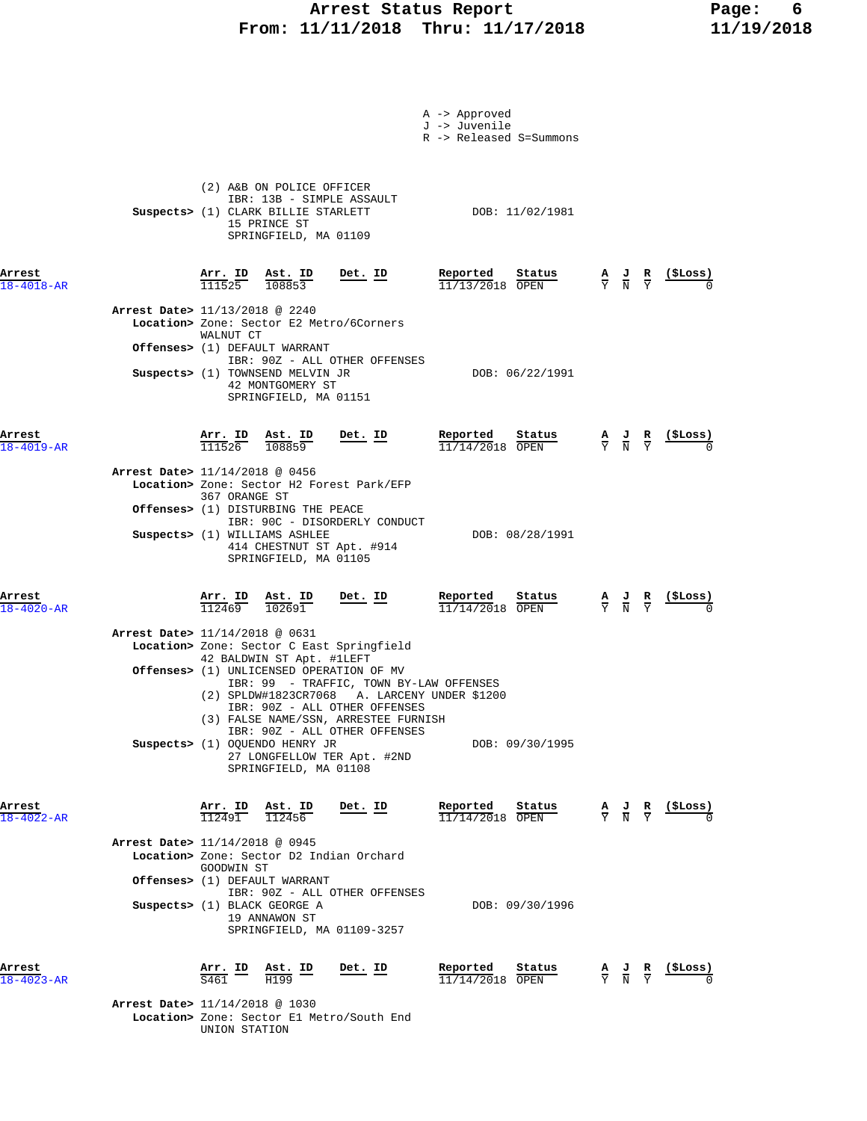# **Arrest Status Report Page: 6 From: 11/11/2018 Thru: 11/17/2018 11/19/2018**

|                            |                                                                                                                                                                                                                                                                                                                                                                                                       | A -> Approved<br>J -> Juvenile<br>R -> Released S=Summons |                                                                                                                      |
|----------------------------|-------------------------------------------------------------------------------------------------------------------------------------------------------------------------------------------------------------------------------------------------------------------------------------------------------------------------------------------------------------------------------------------------------|-----------------------------------------------------------|----------------------------------------------------------------------------------------------------------------------|
|                            | (2) A&B ON POLICE OFFICER<br>IBR: 13B - SIMPLE ASSAULT<br>Suspects> (1) CLARK BILLIE STARLETT<br>15 PRINCE ST<br>SPRINGFIELD, MA 01109                                                                                                                                                                                                                                                                | DOB: 11/02/1981                                           |                                                                                                                      |
| Arrest<br>$18 - 4018 - AR$ | <u>Arr.</u> ID<br><b>Ast. ID</b><br>108853<br><u>Det. ID</u><br>111525                                                                                                                                                                                                                                                                                                                                | Reported<br>Status<br>$11/13/2018$ OPEN                   | $\frac{\text{(}$ SLoss $\text{)}$<br>$\frac{A}{Y}$ $\frac{J}{N}$ $\frac{R}{Y}$                                       |
|                            | <b>Arrest Date&gt;</b> 11/13/2018 @ 2240<br>Location> Zone: Sector E2 Metro/6Corners<br>WALNUT CT                                                                                                                                                                                                                                                                                                     |                                                           |                                                                                                                      |
|                            | Offenses> (1) DEFAULT WARRANT<br>IBR: 90Z - ALL OTHER OFFENSES<br>Suspects> (1) TOWNSEND MELVIN JR<br>42 MONTGOMERY ST<br>SPRINGFIELD, MA 01151                                                                                                                                                                                                                                                       | DOB: 06/22/1991                                           |                                                                                                                      |
| Arrest<br>$18 - 4019 - AR$ | Arr. ID Ast. ID<br>$Det$ . ID<br>111526<br>108859                                                                                                                                                                                                                                                                                                                                                     | Reported<br>Status<br>$11/14/2018$ OPEN                   | $(_{\rm{SLOSS}})$<br>$\frac{\mathbf{A}}{\mathbf{Y}}$ $\frac{\mathbf{J}}{\mathbf{N}}$ $\frac{\mathbf{R}}{\mathbf{Y}}$ |
|                            | Arrest Date> 11/14/2018 @ 0456<br>Location> Zone: Sector H2 Forest Park/EFP<br>367 ORANGE ST<br><b>Offenses&gt;</b> (1) DISTURBING THE PEACE<br>IBR: 90C - DISORDERLY CONDUCT<br>Suspects> (1) WILLIAMS ASHLEE<br>414 CHESTNUT ST Apt. #914<br>SPRINGFIELD, MA 01105                                                                                                                                  | DOB: 08/28/1991                                           |                                                                                                                      |
| Arrest<br>$18 - 4020 - AR$ | $Det$ . ID<br>$\frac{\text{Arr.}}{112469}$ $\frac{\text{Ast.}}{102691}$                                                                                                                                                                                                                                                                                                                               | Reported<br>Status<br>11/14/2018 OPEN                     | ( <b>SLoss</b> )<br>$\frac{\mathbf{A}}{\mathbf{Y}}$ $\frac{\mathbf{J}}{\mathbf{N}}$ $\frac{\mathbf{R}}{\mathbf{Y}}$  |
|                            | Arrest Date> 11/14/2018 @ 0631<br>Location> Zone: Sector C East Springfield<br>42 BALDWIN ST Apt. #1LEFT<br><b>Offenses&gt;</b> (1) UNLICENSED OPERATION OF MV<br>IBR: 99 - TRAFFIC, TOWN BY-LAW OFFENSES<br>(2) SPLDW#1823CR7068 A. LARCENY UNDER \$1200<br>IBR: 90Z - ALL OTHER OFFENSES<br>(3) FALSE NAME/SSN, ARRESTEE FURNISH<br>IBR: 90Z - ALL OTHER OFFENSES<br>Suspects> (1) OQUENDO HENRY JR | DOB: 09/30/1995                                           |                                                                                                                      |
| Arrest                     | 27 LONGFELLOW TER Apt. #2ND<br>SPRINGFIELD, MA 01108<br>$\frac{\text{Arr. ID}}{112491}$ $\frac{\text{Ast. ID}}{112456}$<br><u>Det. ID</u>                                                                                                                                                                                                                                                             | Reported<br>Status                                        | <u>(\$Loss)</u><br>$\frac{A}{Y}$ $\frac{J}{N}$ $\frac{R}{Y}$                                                         |
| $18 - 4022 - AR$           | Arrest Date> 11/14/2018 @ 0945<br>Location> Zone: Sector D2 Indian Orchard<br>GOODWIN ST                                                                                                                                                                                                                                                                                                              | $11/14/2018$ OPEN                                         |                                                                                                                      |
|                            | Offenses> (1) DEFAULT WARRANT<br>IBR: 90Z - ALL OTHER OFFENSES<br>Suspects> (1) BLACK GEORGE A<br>19 ANNAWON ST<br>SPRINGFIELD, MA 01109-3257                                                                                                                                                                                                                                                         | DOB: 09/30/1996                                           |                                                                                                                      |
| Arrest<br>$18 - 4023 - AR$ | <u>Arr. ID</u><br>$\underline{\text{Ast.}}$ ID<br><u>Det. ID</u><br>S461<br>H199                                                                                                                                                                                                                                                                                                                      | Reported<br>Status<br>11/14/2018 OPEN                     | ( ŞLoss )<br>$\frac{\mathbf{A}}{\mathbf{Y}}$ $\frac{\mathbf{J}}{\mathbf{N}}$ $\frac{\mathbf{R}}{\mathbf{Y}}$         |
|                            | Arrest Date> 11/14/2018 @ 1030<br>Location> Zone: Sector El Metro/South End                                                                                                                                                                                                                                                                                                                           |                                                           |                                                                                                                      |

UNION STATION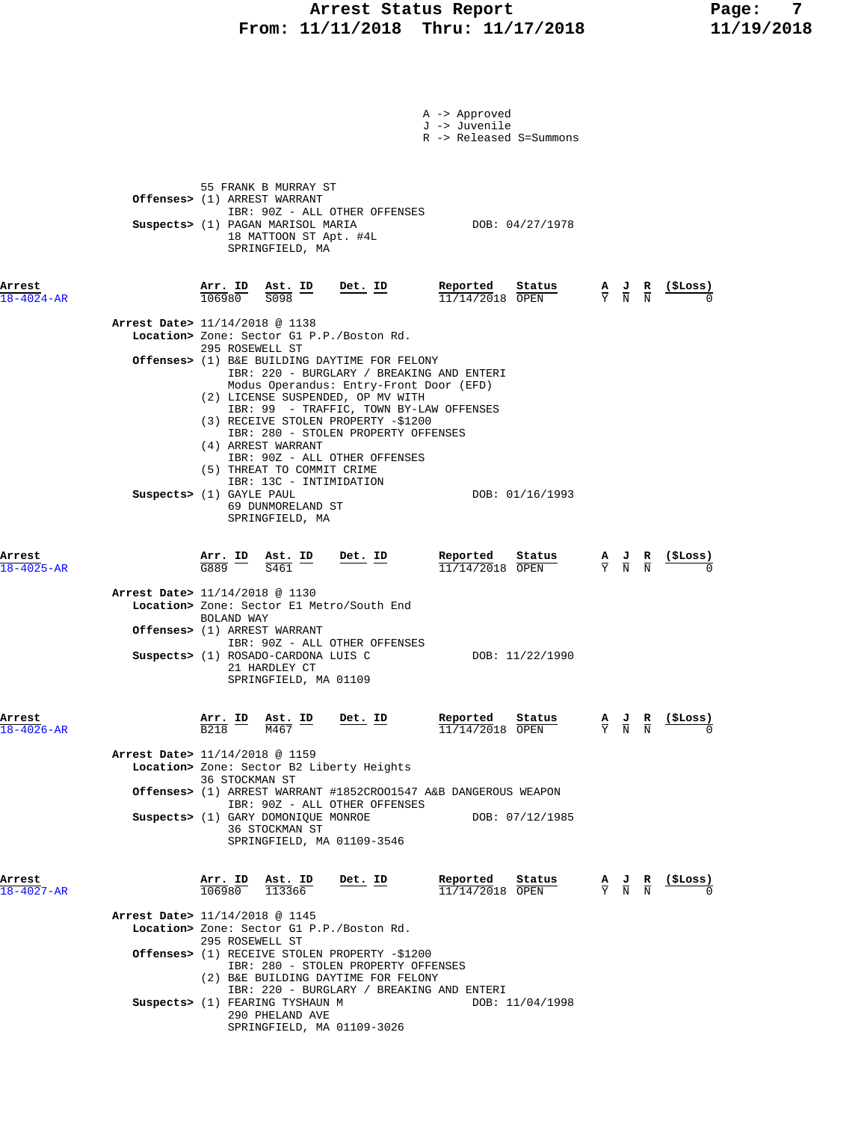### **Arrest Status Report Report Report Report Report Report Report Report Report Report Report Report Report Report Report Report Report Report Report Report Report Report Report Report Report Report Report Report Report Repo From: 11/11/2018 Thru: 11/17/2018 11/19/2018**

|                            |                          |                                      |                                                                                                                                        |                                                                                                  | A -> Approved<br>J -> Juvenile | R -> Released S=Summons               |                                                                                                 |               |                                                               |
|----------------------------|--------------------------|--------------------------------------|----------------------------------------------------------------------------------------------------------------------------------------|--------------------------------------------------------------------------------------------------|--------------------------------|---------------------------------------|-------------------------------------------------------------------------------------------------|---------------|---------------------------------------------------------------|
|                            |                          |                                      | 55 FRANK B MURRAY ST<br>Offenses> (1) ARREST WARRANT<br>Suspects> (1) PAGAN MARISOL MARIA<br>18 MATTOON ST Apt. #4L<br>SPRINGFIELD, MA | IBR: 90Z - ALL OTHER OFFENSES                                                                    |                                | DOB: 04/27/1978                       |                                                                                                 |               |                                                               |
| Arrest                     |                          |                                      | Arr. ID Ast. ID                                                                                                                        | Det. ID                                                                                          | Reported                       | Status                                | $\frac{A}{Y}$ $\frac{J}{N}$ $\frac{R}{N}$                                                       |               | (ŞLoss)                                                       |
| $18 - 4024 - AR$           |                          |                                      | 106980 S098                                                                                                                            |                                                                                                  | $11/14/2018$ OPEN              |                                       |                                                                                                 |               |                                                               |
|                            |                          |                                      | Arrest Date> 11/14/2018 @ 1138                                                                                                         |                                                                                                  |                                |                                       |                                                                                                 |               |                                                               |
|                            |                          |                                      |                                                                                                                                        | Location> Zone: Sector G1 P.P./Boston Rd.                                                        |                                |                                       |                                                                                                 |               |                                                               |
|                            |                          |                                      | 295 ROSEWELL ST                                                                                                                        | Offenses> (1) B&E BUILDING DAYTIME FOR FELONY                                                    |                                |                                       |                                                                                                 |               |                                                               |
|                            |                          |                                      |                                                                                                                                        | IBR: 220 - BURGLARY / BREAKING AND ENTERI<br>Modus Operandus: Entry-Front Door (EFD)             |                                |                                       |                                                                                                 |               |                                                               |
|                            |                          |                                      |                                                                                                                                        | (2) LICENSE SUSPENDED, OP MV WITH                                                                |                                |                                       |                                                                                                 |               |                                                               |
|                            |                          |                                      |                                                                                                                                        | IBR: 99 - TRAFFIC, TOWN BY-LAW OFFENSES<br>(3) RECEIVE STOLEN PROPERTY -\$1200                   |                                |                                       |                                                                                                 |               |                                                               |
|                            |                          |                                      |                                                                                                                                        | IBR: 280 - STOLEN PROPERTY OFFENSES                                                              |                                |                                       |                                                                                                 |               |                                                               |
|                            |                          |                                      | (4) ARREST WARRANT                                                                                                                     | IBR: 90Z - ALL OTHER OFFENSES                                                                    |                                |                                       |                                                                                                 |               |                                                               |
|                            |                          |                                      | (5) THREAT TO COMMIT CRIME                                                                                                             |                                                                                                  |                                |                                       |                                                                                                 |               |                                                               |
|                            | Suspects> (1) GAYLE PAUL |                                      | IBR: 13C - INTIMIDATION                                                                                                                |                                                                                                  |                                | DOB: 01/16/1993                       |                                                                                                 |               |                                                               |
|                            |                          |                                      | 69 DUNMORELAND ST                                                                                                                      |                                                                                                  |                                |                                       |                                                                                                 |               |                                                               |
|                            |                          |                                      | SPRINGFIELD, MA                                                                                                                        |                                                                                                  |                                |                                       |                                                                                                 |               |                                                               |
|                            |                          |                                      |                                                                                                                                        |                                                                                                  |                                |                                       |                                                                                                 |               |                                                               |
| Arrest<br>$18 - 4025 - AR$ |                          | $\frac{\text{Arr.}}{\text{G889}}$ ID | $\frac{\text{Ast.}}{\text{A4} \cdot \text{A}}$ ID<br>$\overline{S461}$                                                                 | $Det. ID$                                                                                        | Reported<br>11/14/2018 OPEN    | Status                                | $\frac{\mathbf{A}}{\mathbf{Y}}$ $\frac{\mathbf{J}}{\mathbf{N}}$ $\frac{\mathbf{R}}{\mathbf{N}}$ |               | <u>(SLoss)</u>                                                |
|                            |                          |                                      | Arrest Date> 11/14/2018 @ 1130                                                                                                         |                                                                                                  |                                |                                       |                                                                                                 |               |                                                               |
|                            |                          |                                      |                                                                                                                                        | Location> Zone: Sector El Metro/South End                                                        |                                |                                       |                                                                                                 |               |                                                               |
|                            |                          | BOLAND WAY                           |                                                                                                                                        |                                                                                                  |                                |                                       |                                                                                                 |               |                                                               |
|                            |                          |                                      | <b>Offenses&gt;</b> (1) ARREST WARRANT                                                                                                 | IBR: 90Z - ALL OTHER OFFENSES                                                                    |                                |                                       |                                                                                                 |               |                                                               |
|                            |                          |                                      | Suspects> (1) ROSADO-CARDONA LUIS C                                                                                                    |                                                                                                  |                                | DOB: 11/22/1990                       |                                                                                                 |               |                                                               |
|                            |                          |                                      | 21 HARDLEY CT<br>SPRINGFIELD, MA 01109                                                                                                 |                                                                                                  |                                |                                       |                                                                                                 |               |                                                               |
|                            |                          |                                      |                                                                                                                                        |                                                                                                  |                                |                                       |                                                                                                 |               |                                                               |
| Arrest                     |                          | ID                                   | ID                                                                                                                                     | Det. ID                                                                                          | Reported                       | Status                                |                                                                                                 |               | $(\$ Loss)$                                                   |
| $18 - 4026 - AR$           |                          |                                      | ASt.<br>M467                                                                                                                           |                                                                                                  | 11/14/2018 OPEN                |                                       |                                                                                                 | $\frac{R}{N}$ |                                                               |
|                            |                          |                                      | <b>Arrest Date&gt;</b> 11/14/2018 @ 1159                                                                                               |                                                                                                  |                                |                                       |                                                                                                 |               |                                                               |
|                            |                          |                                      |                                                                                                                                        | Location> Zone: Sector B2 Liberty Heights                                                        |                                |                                       |                                                                                                 |               |                                                               |
|                            |                          |                                      | 36 STOCKMAN ST                                                                                                                         |                                                                                                  |                                |                                       |                                                                                                 |               |                                                               |
|                            |                          |                                      |                                                                                                                                        | Offenses> (1) ARREST WARRANT #1852CROO1547 A&B DANGEROUS WEAPON<br>IBR: 90Z - ALL OTHER OFFENSES |                                |                                       |                                                                                                 |               |                                                               |
|                            |                          |                                      | Suspects> (1) GARY DOMONIQUE MONROE                                                                                                    |                                                                                                  |                                | DOB: 07/12/1985                       |                                                                                                 |               |                                                               |
|                            |                          |                                      | 36 STOCKMAN ST                                                                                                                         | SPRINGFIELD, MA 01109-3546                                                                       |                                |                                       |                                                                                                 |               |                                                               |
|                            |                          |                                      |                                                                                                                                        |                                                                                                  |                                |                                       |                                                                                                 |               |                                                               |
| Arrest                     |                          |                                      |                                                                                                                                        | $Det. ID$                                                                                        | Reported                       |                                       |                                                                                                 |               |                                                               |
| $18 - 4027 - AR$           |                          |                                      | $\frac{\texttt{Arr. ID}}{106980}$ $\frac{\texttt{ Ast. ID}}{113366}$                                                                   |                                                                                                  | $11/14/2018$ OPEN              | $\frac{\texttt{Status}}{\text{OPTN}}$ |                                                                                                 |               | $\frac{A}{Y}$ $\frac{J}{N}$ $\frac{R}{N}$ $\frac{($Loss)}{0}$ |
|                            |                          |                                      | Arrest Date> 11/14/2018 @ 1145                                                                                                         |                                                                                                  |                                |                                       |                                                                                                 |               |                                                               |
|                            |                          |                                      |                                                                                                                                        | Location> Zone: Sector G1 P.P./Boston Rd.                                                        |                                |                                       |                                                                                                 |               |                                                               |
|                            |                          |                                      | 295 ROSEWELL ST                                                                                                                        |                                                                                                  |                                |                                       |                                                                                                 |               |                                                               |
|                            |                          |                                      |                                                                                                                                        | <b>Offenses&gt;</b> (1) RECEIVE STOLEN PROPERTY -\$1200<br>IBR: 280 - STOLEN PROPERTY OFFENSES   |                                |                                       |                                                                                                 |               |                                                               |
|                            |                          |                                      |                                                                                                                                        | (2) B&E BUILDING DAYTIME FOR FELONY                                                              |                                |                                       |                                                                                                 |               |                                                               |
|                            |                          |                                      | Suspects> (1) FEARING TYSHAUN M                                                                                                        | IBR: 220 - BURGLARY / BREAKING AND ENTERI                                                        |                                | DOB: 11/04/1998                       |                                                                                                 |               |                                                               |
|                            |                          |                                      | 290 PHELAND AVE                                                                                                                        |                                                                                                  |                                |                                       |                                                                                                 |               |                                                               |
|                            |                          |                                      |                                                                                                                                        | SPRINGFIELD, MA 01109-3026                                                                       |                                |                                       |                                                                                                 |               |                                                               |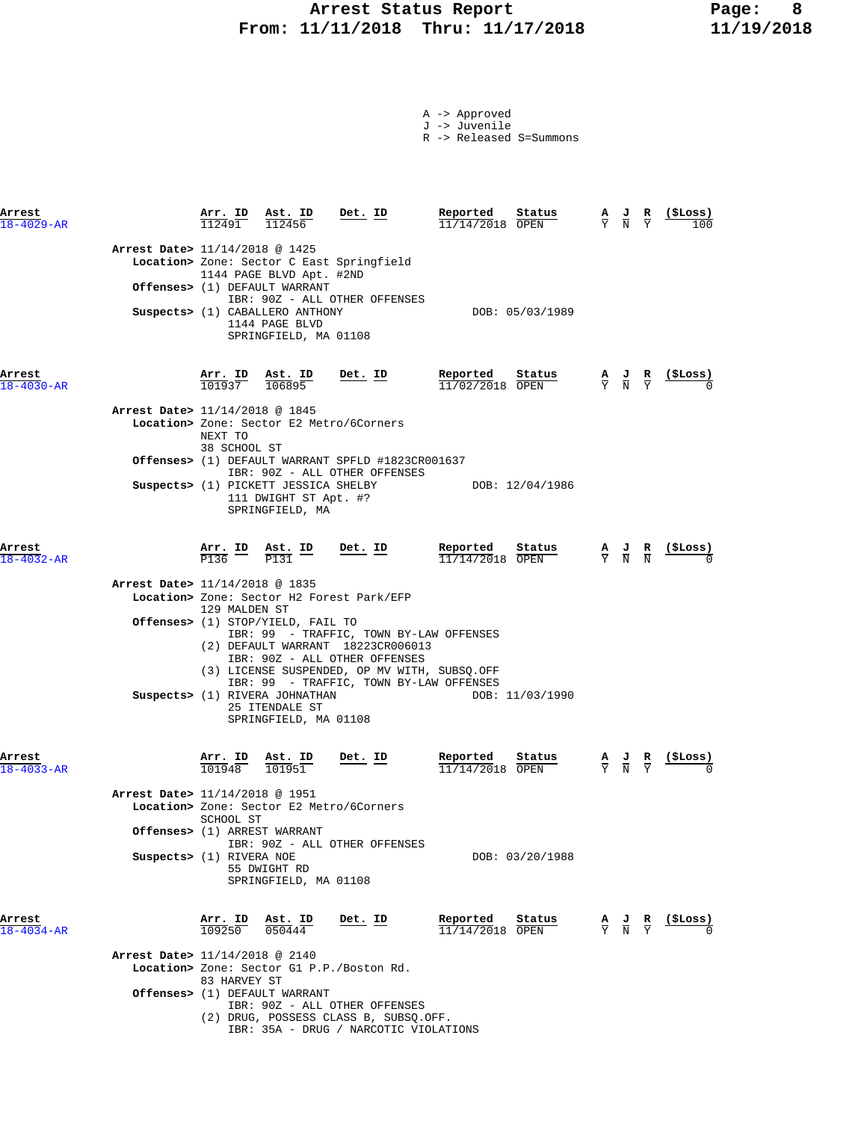# **Arrest Status Report Page: 8 From: 11/11/2018 Thru: 11/17/2018 11/19/2018**

|  | -> Approved |  |
|--|-------------|--|
|  |             |  |

J -> Juvenile

R -> Released S=Summons

| Arrest<br>$18 - 4029 - AR$     | Arr. ID                                   | Ast. ID<br>112456                                                                                                                       | Det. ID                                                                                                                                                                                                  | Reported<br>Status<br>11/14/2018 OPEN   | $rac{\mathbf{A}}{\mathbf{Y}}$ | $\frac{1}{N}$                                                                                   | R                             | (ŞLoss)        |
|--------------------------------|-------------------------------------------|-----------------------------------------------------------------------------------------------------------------------------------------|----------------------------------------------------------------------------------------------------------------------------------------------------------------------------------------------------------|-----------------------------------------|-------------------------------|-------------------------------------------------------------------------------------------------|-------------------------------|----------------|
| Arrest Date> 11/14/2018 @ 1425 |                                           | 1144 PAGE BLVD Apt. #2ND<br>Offenses> (1) DEFAULT WARRANT<br>Suspects> (1) CABALLERO ANTHONY<br>1144 PAGE BLVD<br>SPRINGFIELD, MA 01108 | Location> Zone: Sector C East Springfield<br>IBR: 90Z - ALL OTHER OFFENSES                                                                                                                               | DOB: 05/03/1989                         |                               |                                                                                                 |                               |                |
| Arrest<br>$18 - 4030 - AR$     | Arr. ID<br>101937                         | Ast. ID<br>106895                                                                                                                       | Det. ID                                                                                                                                                                                                  | Reported<br>Status<br>$11/02/2018$ OPEN |                               | $\frac{A}{Y}$ $\frac{J}{N}$ $\frac{R}{Y}$                                                       |                               | <u>(SLoss)</u> |
| Arrest Date> 11/14/2018 @ 1845 | NEXT TO<br>38 SCHOOL ST                   |                                                                                                                                         | Location> Zone: Sector E2 Metro/6Corners                                                                                                                                                                 |                                         |                               |                                                                                                 |                               |                |
|                                |                                           |                                                                                                                                         | Offenses> (1) DEFAULT WARRANT SPFLD #1823CR001637<br>IBR: 90Z - ALL OTHER OFFENSES                                                                                                                       |                                         |                               |                                                                                                 |                               |                |
|                                |                                           | Suspects> (1) PICKETT JESSICA SHELBY<br>111 DWIGHT ST Apt. #?<br>SPRINGFIELD, MA                                                        |                                                                                                                                                                                                          | DOB: 12/04/1986                         |                               |                                                                                                 |                               |                |
| Arrest<br>$18 - 4032 - AR$     |                                           | $\frac{\text{Arr.}}{\text{P136}}$ ID $\frac{\text{Ast.}}{\text{P131}}$ ID                                                               | <u>Det. ID</u>                                                                                                                                                                                           | Reported<br>Status<br>$11/14/2018$ OPEN |                               | $\frac{A}{Y}$ $\frac{J}{N}$ $\frac{R}{N}$                                                       |                               | (ŞLoss)        |
| Arrest Date> 11/14/2018 @ 1835 |                                           |                                                                                                                                         | Location> Zone: Sector H2 Forest Park/EFP                                                                                                                                                                |                                         |                               |                                                                                                 |                               |                |
|                                | 129 MALDEN ST                             | <b>Offenses&gt;</b> (1) STOP/YIELD, FAIL TO<br>Suspects> (1) RIVERA JOHNATHAN<br>25 ITENDALE ST                                         | IBR: 99 - TRAFFIC, TOWN BY-LAW OFFENSES<br>(2) DEFAULT WARRANT 18223CR006013<br>IBR: 90Z - ALL OTHER OFFENSES<br>(3) LICENSE SUSPENDED, OP MV WITH, SUBSQ.OFF<br>IBR: 99 - TRAFFIC, TOWN BY-LAW OFFENSES | DOB: 11/03/1990                         |                               |                                                                                                 |                               |                |
|                                |                                           | SPRINGFIELD, MA 01108                                                                                                                   |                                                                                                                                                                                                          |                                         |                               |                                                                                                 |                               |                |
| Arrest<br>$18 - 4033 - AR$     | $\frac{\texttt{Arr. ID}}{101948}$         | Ast. ID<br>101951                                                                                                                       | <u>Det.</u> ID                                                                                                                                                                                           | Reported<br>Status<br>11/14/2018 OPEN   |                               | $\frac{A}{Y}$ $\frac{J}{N}$                                                                     | $rac{\mathbf{R}}{\mathbf{Y}}$ |                |
| Arrest Date> 11/14/2018 @ 1951 |                                           |                                                                                                                                         | Location> Zone: Sector E2 Metro/6Corners                                                                                                                                                                 |                                         |                               |                                                                                                 |                               |                |
|                                | SCHOOL ST<br>Offenses> (1) ARREST WARRANT |                                                                                                                                         | IBR: 90Z - ALL OTHER OFFENSES                                                                                                                                                                            |                                         |                               |                                                                                                 |                               |                |
|                                | Suspects> (1) RIVERA NOE                  | 55 DWIGHT RD<br>SPRINGFIELD, MA 01108                                                                                                   |                                                                                                                                                                                                          | DOB: 03/20/1988                         |                               |                                                                                                 |                               |                |
| Arrest<br>$18 - 4034 - AR$     | $\frac{\texttt{Arr.}}{109250}$            | $\frac{\texttt{Ast. ID}}{050444}$                                                                                                       | <u>Det. ID</u>                                                                                                                                                                                           | Reported<br>Status<br>$11/14/2018$ OPEN |                               | $\frac{\mathbf{A}}{\mathbf{Y}}$ $\frac{\mathbf{J}}{\mathbf{N}}$ $\frac{\mathbf{R}}{\mathbf{Y}}$ |                               | $\frac{15}{2}$ |
| Arrest Date> 11/14/2018 @ 2140 |                                           |                                                                                                                                         | Location> Zone: Sector G1 P.P./Boston Rd.                                                                                                                                                                |                                         |                               |                                                                                                 |                               |                |
|                                | 83 HARVEY ST                              | Offenses> (1) DEFAULT WARRANT                                                                                                           |                                                                                                                                                                                                          |                                         |                               |                                                                                                 |                               |                |
|                                |                                           |                                                                                                                                         | IBR: 90Z - ALL OTHER OFFENSES<br>(2) DRUG, POSSESS CLASS B, SUBSQ.OFF.                                                                                                                                   |                                         |                               |                                                                                                 |                               |                |

IBR: 35A - DRUG / NARCOTIC VIOLATIONS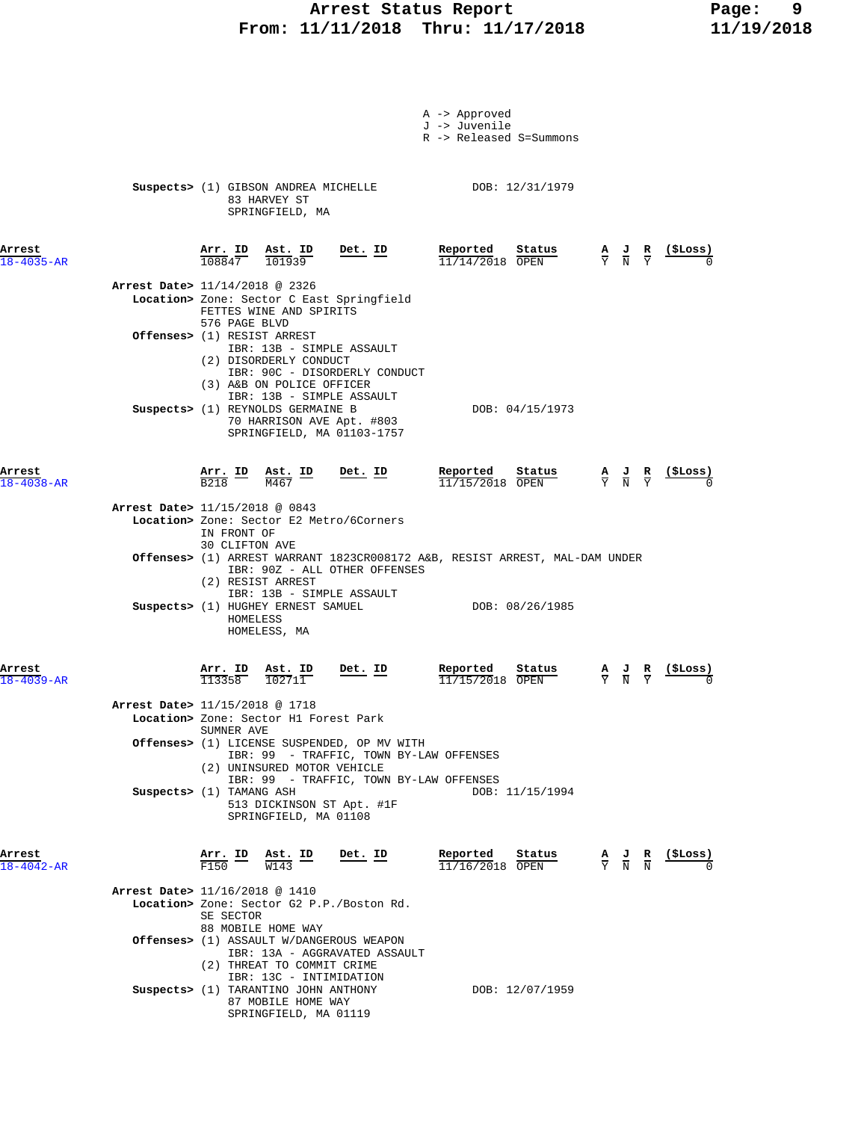### **Arrest Status Report Page: 9 From: 11/11/2018 Thru: 11/17/2018 11/19/2018**

|                            |                                                                                                                                                                                         | A -> Approved<br>J -> Juvenile<br>R -> Released S=Summons                                                |                                                                                                 |                            |
|----------------------------|-----------------------------------------------------------------------------------------------------------------------------------------------------------------------------------------|----------------------------------------------------------------------------------------------------------|-------------------------------------------------------------------------------------------------|----------------------------|
|                            | Suspects> (1) GIBSON ANDREA MICHELLE DOB: 12/31/1979<br>83 HARVEY ST<br>SPRINGFIELD, MA                                                                                                 |                                                                                                          |                                                                                                 |                            |
| Arrest<br>$18 - 4035 - AR$ | $Det$ . ID<br>$\frac{\texttt{Arr.}}{108847}$<br>$\frac{\texttt{Ast. ID}}{101939}$                                                                                                       | Reported<br>Status<br>$11/14/2018$ OPEN                                                                  | $\frac{A}{Y}$ $\frac{J}{N}$ $\frac{R}{Y}$                                                       | $\frac{(\text{SLoss})}{2}$ |
|                            | Arrest Date> 11/14/2018 @ 2326<br>Location> Zone: Sector C East Springfield<br>FETTES WINE AND SPIRITS                                                                                  |                                                                                                          |                                                                                                 |                            |
|                            | 576 PAGE BLVD<br>Offenses> (1) RESIST ARREST<br>IBR: 13B - SIMPLE ASSAULT<br>(2) DISORDERLY CONDUCT                                                                                     |                                                                                                          |                                                                                                 |                            |
|                            | IBR: 90C - DISORDERLY CONDUCT<br>(3) A&B ON POLICE OFFICER<br>IBR: 13B - SIMPLE ASSAULT<br>Suspects> (1) REYNOLDS GERMAINE B<br>70 HARRISON AVE Apt. #803<br>SPRINGFIELD, MA 01103-1757 | DOB: 04/15/1973                                                                                          |                                                                                                 |                            |
| Arrest<br>$18 - 4038 - AR$ | Arr. ID Ast. ID<br>$Det$ . ID<br>B218<br>M467                                                                                                                                           | Reported<br>Status<br>$11/15/2018$ OPEN                                                                  | $\frac{A}{Y}$ $\frac{J}{N}$ $\frac{R}{Y}$                                                       | (SLoss)                    |
|                            | Arrest Date> 11/15/2018 @ 0843<br>Location> Zone: Sector E2 Metro/6Corners<br>IN FRONT OF<br>30 CLIFTON AVE                                                                             |                                                                                                          |                                                                                                 |                            |
|                            | Offenses> (1) ARREST WARRANT 1823CR008172 A&B, RESIST ARREST, MAL-DAM UNDER<br>IBR: 90Z - ALL OTHER OFFENSES<br>(2) RESIST ARREST<br>IBR: 13B - SIMPLE ASSAULT                          |                                                                                                          |                                                                                                 |                            |
|                            | Suspects> (1) HUGHEY ERNEST SAMUEL<br>HOMELESS<br>HOMELESS, MA                                                                                                                          | DOB: 08/26/1985                                                                                          |                                                                                                 |                            |
| Arrest<br>$18 - 4039 - AR$ | $\frac{\text{Arr.}}{113358}$<br><u>Det. ID</u><br>$\frac{\texttt{Ast.}}{102711}$                                                                                                        | Reported<br>Status<br>11/15/2018 OPEN                                                                    | $\frac{\mathbf{A}}{\mathbf{Y}}$ $\frac{\mathbf{J}}{\mathbf{N}}$ $\frac{\mathbf{R}}{\mathbf{Y}}$ | $(_{\rm{5Loss}})$          |
|                            | Arrest Date> 11/15/2018 @ 1718<br>Location> Zone: Sector H1 Forest Park<br>SUMNER AVE                                                                                                   |                                                                                                          |                                                                                                 |                            |
|                            | <b>Offenses&gt;</b> (1) LICENSE SUSPENDED, OP MV WITH<br>IBR: 99 - TRAFFIC, TOWN BY-LAW OFFENSES<br>(2) UNINSURED MOTOR VEHICLE<br>IBR: 99 - TRAFFIC, TOWN BY-LAW OFFENSES              |                                                                                                          |                                                                                                 |                            |
|                            | Suspects> (1) TAMANG ASH<br>513 DICKINSON ST Apt. #1F<br>SPRINGFIELD, MA 01108                                                                                                          | DOB: 11/15/1994                                                                                          |                                                                                                 |                            |
| Arrest<br>$18 - 4042 - AR$ | $\frac{\text{Arr.}}{\text{F150}}$ $\frac{\text{B}}{\text{W143}}$ $\frac{\text{ID}}{\text{W143}}$<br>$Det. ID$                                                                           | <b>Reported</b> Status $\frac{A}{11/16/2018}$ $\frac{B}{OPEN}$ $\frac{A}{Y}$ $\frac{J}{N}$ $\frac{R}{N}$ |                                                                                                 | <u>(SLoss)</u>             |
|                            | Arrest Date> 11/16/2018 @ 1410<br>Location> Zone: Sector G2 P.P./Boston Rd.<br>SE SECTOR<br>88 MOBILE HOME WAY                                                                          |                                                                                                          |                                                                                                 |                            |
|                            | Offenses> (1) ASSAULT W/DANGEROUS WEAPON<br>IBR: 13A - AGGRAVATED ASSAULT<br>(2) THREAT TO COMMIT CRIME                                                                                 |                                                                                                          |                                                                                                 |                            |
|                            | IBR: 13C - INTIMIDATION<br>Suspects> (1) TARANTINO JOHN ANTHONY<br>87 MOBILE HOME WAY<br>SPRINGFIELD, MA 01119                                                                          | DOB: 12/07/1959                                                                                          |                                                                                                 |                            |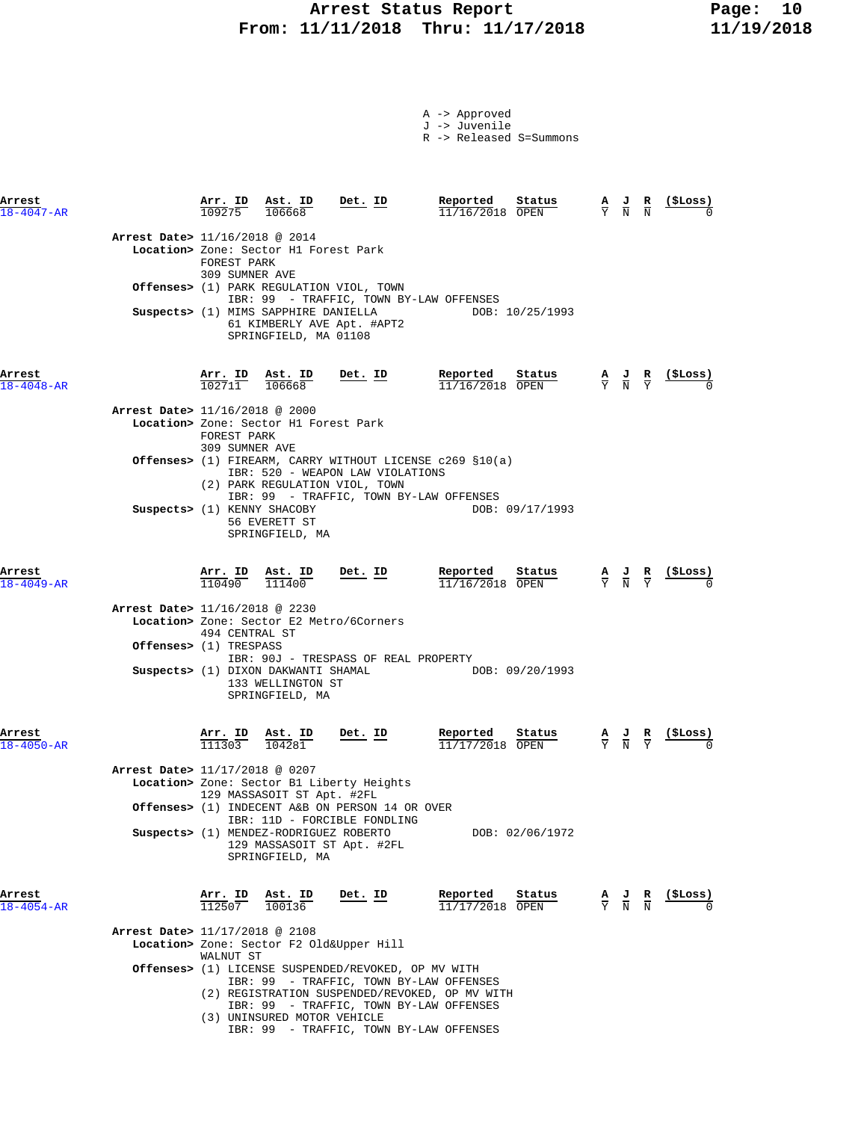#### **Arrest Status Report Page: 10 From: 11/11/2018 Thru: 11/17/2018 11/19/2018**

|  | A -> Approved |
|--|---------------|
|  | J -> Juvenile |

R -> Released S=Summons

**Arrest Arr. ID Ast. ID Det. ID Reported Status A J R (\$Loss)** 18-4047-AR 109275 106668 11/16/2018 OPEN Y N N 0  **Arrest Date>** 11/16/2018 @ 2014  **Location>** Zone: Sector H1 Forest Park FOREST PARK 309 SUMNER AVE  **Offenses>** (1) PARK REGULATION VIOL, TOWN IBR: 99 - TRAFFIC, TOWN BY-LAW OFFENSES Suspects> (1) MIMS SAPPHIRE DANIELLA 61 KIMBERLY AVE Apt. #APT2 SPRINGFIELD, MA 01108 **Arrest Arr. ID Ast. ID Det. ID Reported Status A J R (\$Loss)**  $\overline{102711}$   $\overline{106668}$   $\overline{11/16/2018}$   $\overline{OPEN}$   $\overline{Y}$   $\overline{N}$   $\overline{Y}$   $\overline{0}$  **Arrest Date>** 11/16/2018 @ 2000  **Location>** Zone: Sector H1 Forest Park FOREST PARK 309 SUMNER AVE  **Offenses>** (1) FIREARM, CARRY WITHOUT LICENSE c269 §10(a) IBR: 520 - WEAPON LAW VIOLATIONS (2) PARK REGULATION VIOL, TOWN IBR: 99 - TRAFFIC, TOWN BY-LAW OFFENSES **Suspects>** (1) KENNY SHACOBY DOB: 09/17/1993 56 EVERETT ST SPRINGFIELD, MA **Arrest Arr. ID Ast. ID Det. ID Reported Status A J R (\$Loss)** 18-4049-AR 110490 111400 11/16/2018 OPEN Y N Y 0  **Arrest Date>** 11/16/2018 @ 2230  **Location>** Zone: Sector E2 Metro/6Corners 494 CENTRAL ST  **Offenses>** (1) TRESPASS IBR: 90J - TRESPASS OF REAL PROPERTY **Suspects>** (1) DIXON DAKWANTI SHAMAL DOB: 09/20/1993 133 WELLINGTON ST SPRINGFIELD, MA **Arrest Arr. ID Ast. ID Det. ID Reported Status A J R (\$Loss)** 18-4050-AR 111303 104281 11/17/2018 OPEN Y N Y 0  **Arrest Date>** 11/17/2018 @ 0207  **Location>** Zone: Sector B1 Liberty Heights 129 MASSASOIT ST Apt. #2FL  **Offenses>** (1) INDECENT A&B ON PERSON 14 OR OVER IBR: 11D - FORCIBLE FONDLING Suspects> (1) MENDEZ-RODRIGUEZ ROBERTO DOB: 02/06/1972 129 MASSASOIT ST Apt. #2FL SPRINGFIELD, MA **Arrest Arr. ID Ast. ID Det. ID Reported Status A J R (\$Loss)**  $\overline{112507}$   $\overline{100136}$   $\overline{1177/2018}$   $\overline{OPEN}$   $\overline{X}$   $\overline{N}$   $\overline{0}$   $\overline{0}$  **Arrest Date>** 11/17/2018 @ 2108  **Location>** Zone: Sector F2 Old&Upper Hill WALNUT ST  **Offenses>** (1) LICENSE SUSPENDED/REVOKED, OP MV WITH IBR: 99 - TRAFFIC, TOWN BY-LAW OFFENSES (2) REGISTRATION SUSPENDED/REVOKED, OP MV WITH IBR: 99 - TRAFFIC, TOWN BY-LAW OFFENSES (3) UNINSURED MOTOR VEHICLE

IBR: 99 - TRAFFIC, TOWN BY-LAW OFFENSES